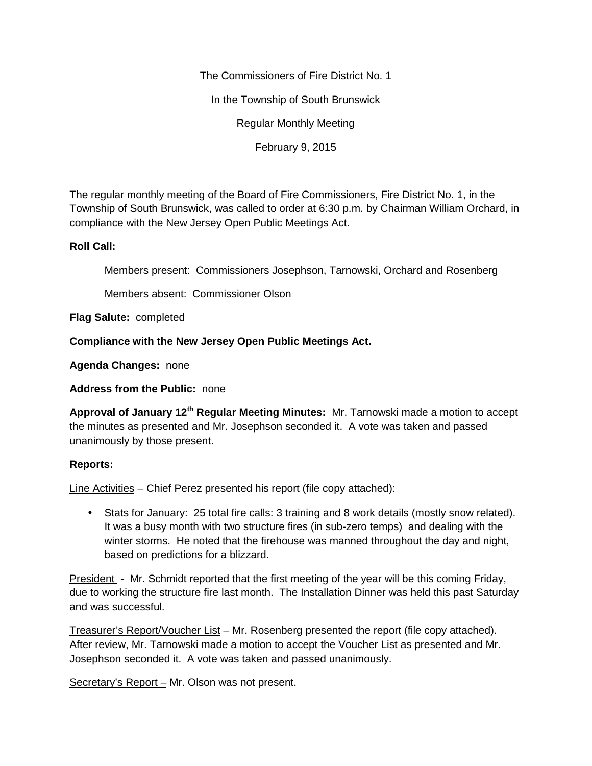The Commissioners of Fire District No. 1

In the Township of South Brunswick

Regular Monthly Meeting

February 9, 2015

The regular monthly meeting of the Board of Fire Commissioners, Fire District No. 1, in the Township of South Brunswick, was called to order at 6:30 p.m. by Chairman William Orchard, in compliance with the New Jersey Open Public Meetings Act.

## **Roll Call:**

Members present: Commissioners Josephson, Tarnowski, Orchard and Rosenberg

Members absent: Commissioner Olson

**Flag Salute:** completed

**Compliance with the New Jersey Open Public Meetings Act.**

**Agenda Changes:** none

**Address from the Public:** none

**Approval of January 12th Regular Meeting Minutes:** Mr. Tarnowski made a motion to accept the minutes as presented and Mr. Josephson seconded it. A vote was taken and passed unanimously by those present.

## **Reports:**

Line Activities – Chief Perez presented his report (file copy attached):

 Stats for January: 25 total fire calls: 3 training and 8 work details (mostly snow related). It was a busy month with two structure fires (in sub-zero temps) and dealing with the winter storms. He noted that the firehouse was manned throughout the day and night, based on predictions for a blizzard.

President - Mr. Schmidt reported that the first meeting of the year will be this coming Friday, due to working the structure fire last month. The Installation Dinner was held this past Saturday and was successful.

Treasurer's Report/Voucher List – Mr. Rosenberg presented the report (file copy attached). After review, Mr. Tarnowski made a motion to accept the Voucher List as presented and Mr. Josephson seconded it. A vote was taken and passed unanimously.

Secretary's Report – Mr. Olson was not present.